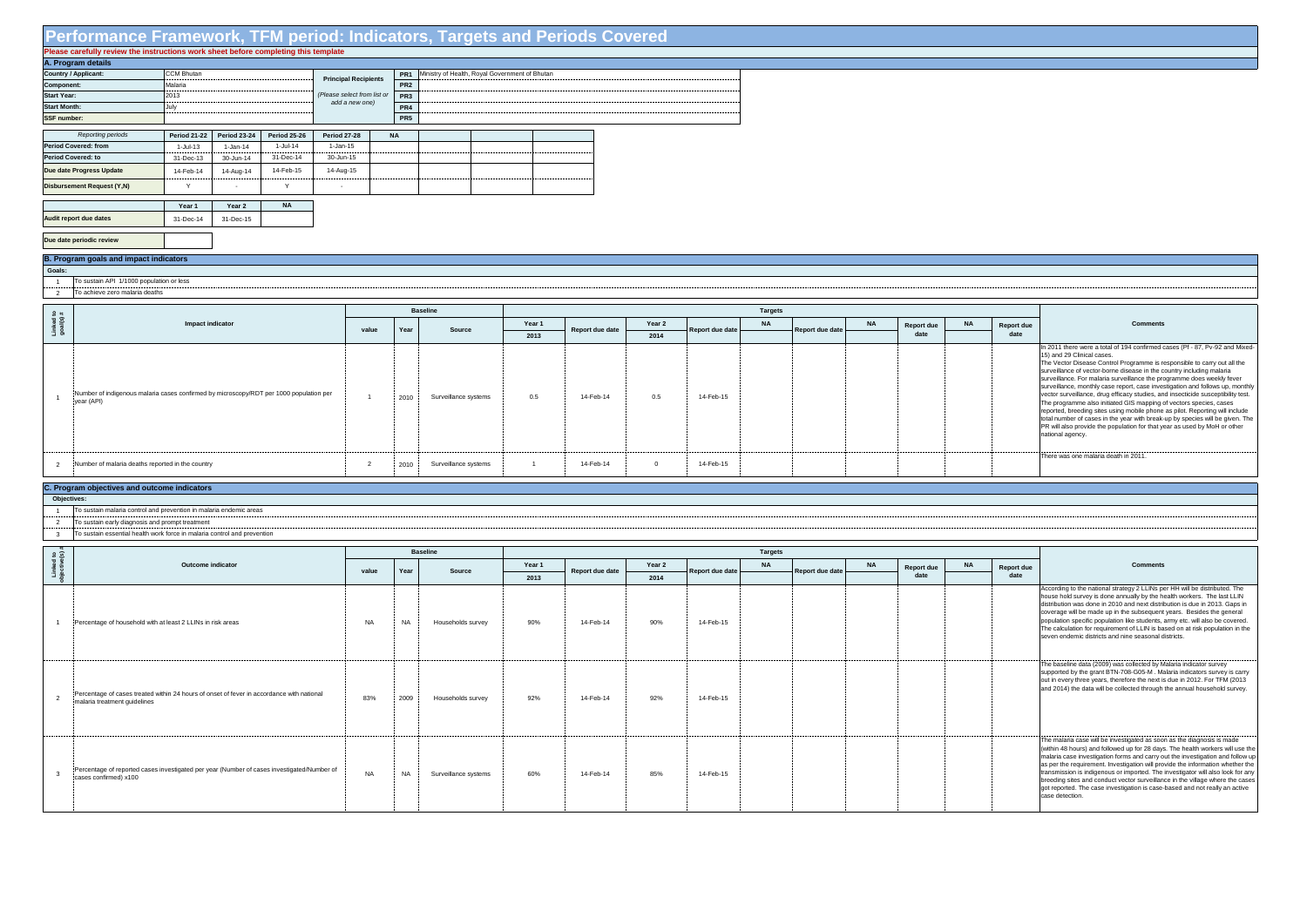## **Performance Framework, TFM period: Indicators, Targets and Periods Covered**

| Please carefully review the instructions work sheet before completing this template |                                     |                     |                     |                             |  |                 |  |                                                |  |  |  |  |  |  |  |
|-------------------------------------------------------------------------------------|-------------------------------------|---------------------|---------------------|-----------------------------|--|-----------------|--|------------------------------------------------|--|--|--|--|--|--|--|
| A. Program details                                                                  |                                     |                     |                     |                             |  |                 |  |                                                |  |  |  |  |  |  |  |
| Country / Applicant:                                                                | <b>CCM Bhutan</b>                   |                     |                     | <b>Principal Recipients</b> |  | PR <sub>1</sub> |  | Ministry of Health, Royal Government of Bhutan |  |  |  |  |  |  |  |
| Component:                                                                          | Malaria                             |                     |                     |                             |  | PR <sub>2</sub> |  |                                                |  |  |  |  |  |  |  |
| <b>Start Year:</b>                                                                  | 2013                                |                     |                     | (Please select from list or |  | PR <sub>3</sub> |  |                                                |  |  |  |  |  |  |  |
| <b>Start Month:</b>                                                                 | July                                |                     |                     | add a new one)              |  | PR <sub>4</sub> |  |                                                |  |  |  |  |  |  |  |
| SSF number:                                                                         |                                     |                     |                     |                             |  | PR <sub>5</sub> |  |                                                |  |  |  |  |  |  |  |
|                                                                                     |                                     |                     |                     |                             |  |                 |  |                                                |  |  |  |  |  |  |  |
| Reporting periods                                                                   | <b>Period 21-22</b>                 | <b>Period 23-24</b> | <b>Period 25-26</b> | <b>Period 27-28</b>         |  | <b>NA</b>       |  |                                                |  |  |  |  |  |  |  |
| Period Covered: from                                                                | 1-Jul-13                            | $1-Jan-14$          | $1-Jul-14$          | 1-Jan-15                    |  |                 |  |                                                |  |  |  |  |  |  |  |
| <b>Period Covered: to</b>                                                           | 31-Dec-13                           | 30-Jun-14           | 31-Dec-14           | 30-Jun-15                   |  |                 |  |                                                |  |  |  |  |  |  |  |
| Due date Progress Update                                                            | 14-Feb-15<br>14-Feb-14<br>14-Aug-14 |                     | 14-Aug-15           |                             |  |                 |  |                                                |  |  |  |  |  |  |  |
| Disbursement Request (Y,N)                                                          | $\checkmark$                        | $\overline{a}$      | Υ                   |                             |  |                 |  |                                                |  |  |  |  |  |  |  |
|                                                                                     |                                     |                     |                     |                             |  |                 |  |                                                |  |  |  |  |  |  |  |
|                                                                                     | Year 1                              | Year 2              | <b>NA</b>           |                             |  |                 |  |                                                |  |  |  |  |  |  |  |
| Audit report due dates                                                              | 31-Dec-14                           | 31-Dec-15           |                     |                             |  |                 |  |                                                |  |  |  |  |  |  |  |
|                                                                                     |                                     |                     |                     |                             |  |                 |  |                                                |  |  |  |  |  |  |  |
| Due date periodic review                                                            |                                     |                     |                     |                             |  |                 |  |                                                |  |  |  |  |  |  |  |

1 2 To sustain API 1/1000 population or less To achieve zero malaria deaths

- $\frac{1}{1}$ To sustain malaria control and prevention in malaria endemic areas
- 2 To sustain early diagnosis and prompt treatment
- 3 To sustain essential health work force in malaria control and prevention

|                        |                                                                                                      |             |      | <b>Baseline</b>      |        |                 |          |                 | <b>Targets</b> |                 |           |                   |           |
|------------------------|------------------------------------------------------------------------------------------------------|-------------|------|----------------------|--------|-----------------|----------|-----------------|----------------|-----------------|-----------|-------------------|-----------|
| Linked to<br>goal(s) # | Impact indicator                                                                                     | value       | Year | Source               | Year 1 | Report due date | Year 2   | Report due date | <b>NA</b>      | Report due date | <b>NA</b> | <b>Report due</b> | <b>NA</b> |
|                        |                                                                                                      |             |      |                      | 2013   |                 | 2014     |                 |                |                 |           | date              |           |
|                        | Number of indigenous malaria cases confirmed by microscopy/RDT per 1000 population per<br>year (API) |             | 2010 | Surveillance systems | 0.5    | 14-Feb-14       | 0.5      | 14-Feb-15       |                |                 |           |                   |           |
|                        | Number of malaria deaths reported in the country                                                     | $\sim$<br>∠ | 2010 | Surveillance systems |        | 14-Feb-14       | $\Omega$ | 14-Feb-15       |                |                 |           |                   |           |

 **Goals:**

## **B. Program goals and impact indicators**

| $9\degree$ |                                                                                                                           |           |           | <b>Baseline</b>      |        |                 |        |                 |           |                        |           |                   |            |                                                                                                                                                                                                                                                                                                                                                                                                                                                                                                                                                                                                    |  |  |  |
|------------|---------------------------------------------------------------------------------------------------------------------------|-----------|-----------|----------------------|--------|-----------------|--------|-----------------|-----------|------------------------|-----------|-------------------|------------|----------------------------------------------------------------------------------------------------------------------------------------------------------------------------------------------------------------------------------------------------------------------------------------------------------------------------------------------------------------------------------------------------------------------------------------------------------------------------------------------------------------------------------------------------------------------------------------------------|--|--|--|
| ਾਰ ਤੋ      | <b>Outcome indicator</b>                                                                                                  | value     | Year      | Source               | Year 1 | Report due date | Year 2 | Report due date | <b>NA</b> | <b>Report due date</b> | <b>NA</b> | <b>Report due</b> | Report due | Comments                                                                                                                                                                                                                                                                                                                                                                                                                                                                                                                                                                                           |  |  |  |
| FБ         |                                                                                                                           |           |           |                      | 2013   |                 | 2014   |                 |           |                        |           | date              |            |                                                                                                                                                                                                                                                                                                                                                                                                                                                                                                                                                                                                    |  |  |  |
|            | Percentage of household with at least 2 LLINs in risk areas                                                               | <b>NA</b> | <b>NA</b> | Households survey    | 90%    | 14-Feb-14       | 90%    | 14-Feb-15       |           |                        |           |                   |            | According to the national strategy 2 LLINs per HH will be distributed. The<br>house hold survey is done annually by the health workers. The last LLIN<br>distribution was done in 2010 and next distribution is due in 2013. Gaps in<br>coverage will be made up in the subsequent years. Besides the general<br>population specific population like students, army etc. will also be covered.<br>The calculation for requirement of LLIN is based on at risk population in the<br>seven endemic districts and nine seasonal districts.                                                            |  |  |  |
|            | Percentage of cases treated within 24 hours of onset of fever in accordance with national<br>malaria treatment quidelines | 83%       | 2009      | Households survey    | 92%    | 14-Feb-14       | 92%    | 14-Feb-15       |           |                        |           |                   |            | The baseline data (2009) was collected by Malaria indicator survey<br>supported by the grant BTN-708-G05-M. Malaria indicators survey is carry<br>out in every three years, therefore the next is due in 2012. For TFM (2013)<br>and 2014) the data will be collected through the annual household survey.                                                                                                                                                                                                                                                                                         |  |  |  |
|            | Percentage of reported cases investigated per year (Number of cases investigated/Number of<br>cases confirmed) x100       | <b>NA</b> | <b>NA</b> | Surveillance systems | 60%    | 14-Feb-14       | 85%    | 14-Feb-15       |           |                        |           |                   |            | The malaria case will be investigated as soon as the diagnosis is made<br>(within 48 hours) and followed up for 28 days. The health workers will use the<br>malaria case investigation forms and carry out the investigation and follow up<br>as per the requirement. Investigation will provide the information whether the<br>transmission is indigenous or imported. The investigator will also look for any<br>breeding sites and conduct vector surveillance in the village where the cases<br>got reported. The case investigation is case-based and not really an active<br>case detection. |  |  |  |

## **Due date periodic review**

## **C. Program objectives and outcome indicators**

 **Objectives:**